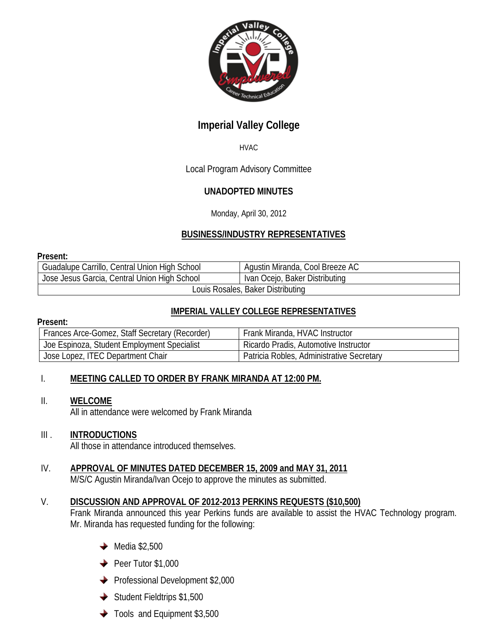

## **Imperial Valley College**

#### HVAC

## Local Program Advisory Committee

## **UNADOPTED MINUTES**

Monday, April 30, 2012

## **BUSINESS/INDUSTRY REPRESENTATIVES**

#### **Present:**

| Guadalupe Carrillo, Central Union High School | Agustin Miranda, Cool Breeze AC |
|-----------------------------------------------|---------------------------------|
| Jose Jesus Garcia, Central Union High School  | Ivan Ocejo, Baker Distributing  |
| Louis Rosales, Baker Distributing             |                                 |

#### **IMPERIAL VALLEY COLLEGE REPRESENTATIVES**

#### **Present:**

| Frances Arce-Gomez, Staff Secretary (Recorder) | Frank Miranda, HVAC Instructor            |
|------------------------------------------------|-------------------------------------------|
| Joe Espinoza, Student Employment Specialist    | Ricardo Pradis, Automotive Instructor     |
| Jose Lopez, ITEC Department Chair              | Patricia Robles, Administrative Secretary |

#### I. **MEETING CALLED TO ORDER BY FRANK MIRANDA AT 12:00 PM.**

#### II. **WELCOME**

All in attendance were welcomed by Frank Miranda

#### III . **INTRODUCTIONS**

All those in attendance introduced themselves.

#### IV. **APPROVAL OF MINUTES DATED DECEMBER 15, 2009 and MAY 31, 2011** M/S/C Agustin Miranda/Ivan Ocejo to approve the minutes as submitted.

# V. **DISCUSSION AND APPROVAL OF 2012-2013 PERKINS REQUESTS (\$10,500)**

Frank Miranda announced this year Perkins funds are available to assist the HVAC Technology program. Mr. Miranda has requested funding for the following:

- $\rightarrow$  Media \$2,500
- $\rightarrow$  Peer Tutor \$1,000
- Professional Development \$2,000
- $\blacklozenge$  Student Fieldtrips \$1,500
- ◆ Tools and Equipment \$3,500